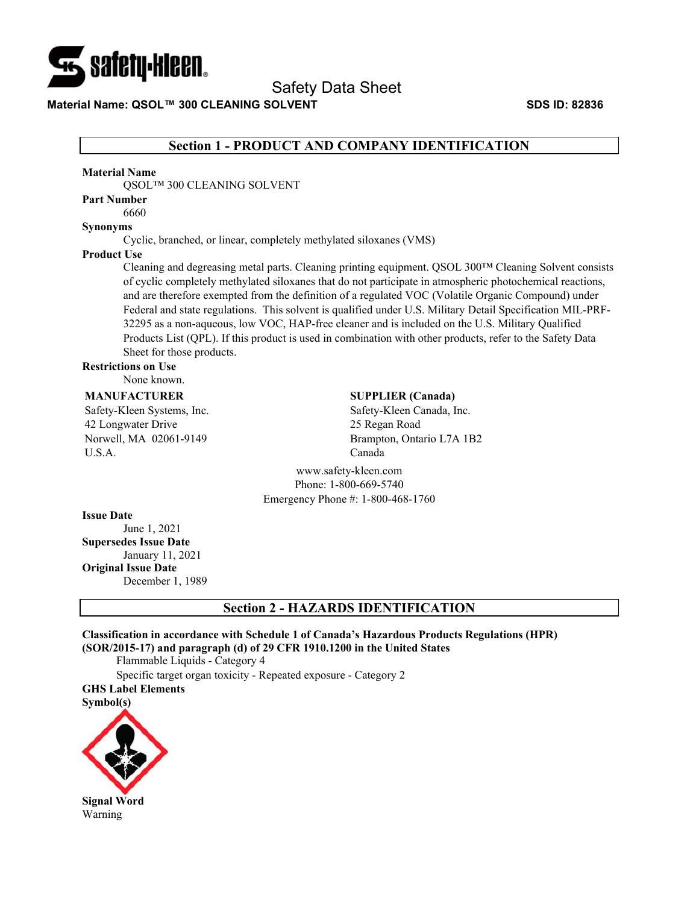

**Material Name: QSOL™ 300 CLEANING SOLVENT SDS ID: 82836** 

## **Section 1 - PRODUCT AND COMPANY IDENTIFICATION**

#### **Material Name**

QSOL™ 300 CLEANING SOLVENT

## **Part Number**

6660

#### **Synonyms**

Cyclic, branched, or linear, completely methylated siloxanes (VMS)

#### **Product Use**

Cleaning and degreasing metal parts. Cleaning printing equipment. QSOL 300™ Cleaning Solvent consists of cyclic completely methylated siloxanes that do not participate in atmospheric photochemical reactions, and are therefore exempted from the definition of a regulated VOC (Volatile Organic Compound) under Federal and state regulations. This solvent is qualified under U.S. Military Detail Specification MIL-PRF-32295 as a non-aqueous, low VOC, HAP-free cleaner and is included on the U.S. Military Qualified Products List (QPL). If this product is used in combination with other products, refer to the Safety Data Sheet for those products.

#### **Restrictions on Use**

None known.

#### **MANUFACTURER**

Safety-Kleen Systems, Inc. 42 Longwater Drive Norwell, MA 02061-9149 U.S.A.

### **SUPPLIER (Canada)**

Safety-Kleen Canada, Inc. 25 Regan Road Brampton, Ontario L7A 1B2 Canada

www.safety-kleen.com Phone: 1-800-669-5740 Emergency Phone #: 1-800-468-1760

#### **Issue Date**

June 1, 2021 **Supersedes Issue Date**  January 11, 2021 **Original Issue Date**  December 1, 1989

#### **Section 2 - HAZARDS IDENTIFICATION**

#### **Classification in accordance with Schedule 1 of Canada's Hazardous Products Regulations (HPR) (SOR/2015-17) and paragraph (d) of 29 CFR 1910.1200 in the United States**

Flammable Liquids - Category 4

Specific target organ toxicity - Repeated exposure - Category 2 **GHS Label Elements** 

#### **Symbol(s)**

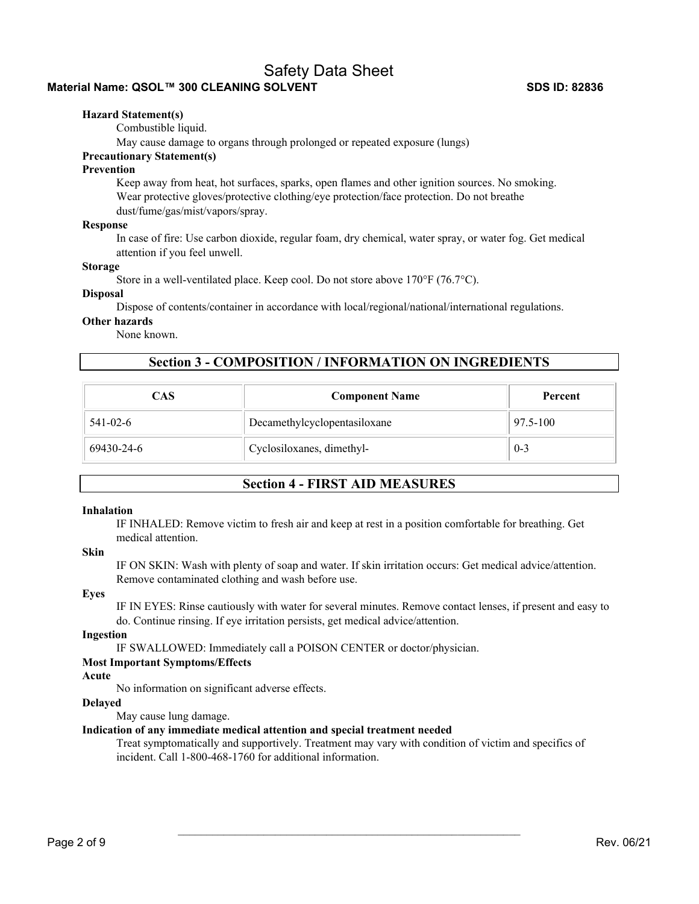## **Material Name: QSOL™ 300 CLEANING SOLVENT SDS ID: 82836**

#### **Hazard Statement(s)**

Combustible liquid.

May cause damage to organs through prolonged or repeated exposure (lungs)

## **Precautionary Statement(s)**

#### **Prevention**

Keep away from heat, hot surfaces, sparks, open flames and other ignition sources. No smoking. Wear protective gloves/protective clothing/eye protection/face protection. Do not breathe dust/fume/gas/mist/vapors/spray.

#### **Response**

In case of fire: Use carbon dioxide, regular foam, dry chemical, water spray, or water fog. Get medical attention if you feel unwell.

#### **Storage**

Store in a well-ventilated place. Keep cool. Do not store above 170°F (76.7°C).

#### **Disposal**

Dispose of contents/container in accordance with local/regional/national/international regulations.

#### **Other hazards**

None known.

## **Section 3 - COMPOSITION / INFORMATION ON INGREDIENTS**

| CAS            | <b>Component Name</b>        | Percent  |
|----------------|------------------------------|----------|
| $541 - 02 - 6$ | Decamethylcyclopentasiloxane | 97.5-100 |
| 69430-24-6     | Cyclosiloxanes, dimethyl-    | $0 - 3$  |

## **Section 4 - FIRST AID MEASURES**

#### **Inhalation**

IF INHALED: Remove victim to fresh air and keep at rest in a position comfortable for breathing. Get medical attention.

## **Skin**

IF ON SKIN: Wash with plenty of soap and water. If skin irritation occurs: Get medical advice/attention. Remove contaminated clothing and wash before use.

#### **Eyes**

IF IN EYES: Rinse cautiously with water for several minutes. Remove contact lenses, if present and easy to do. Continue rinsing. If eye irritation persists, get medical advice/attention.

#### **Ingestion**

IF SWALLOWED: Immediately call a POISON CENTER or doctor/physician.

#### **Most Important Symptoms/Effects**

#### **Acute**

No information on significant adverse effects.

#### **Delayed**

May cause lung damage.

#### **Indication of any immediate medical attention and special treatment needed**

Treat symptomatically and supportively. Treatment may vary with condition of victim and specifics of incident. Call 1-800-468-1760 for additional information.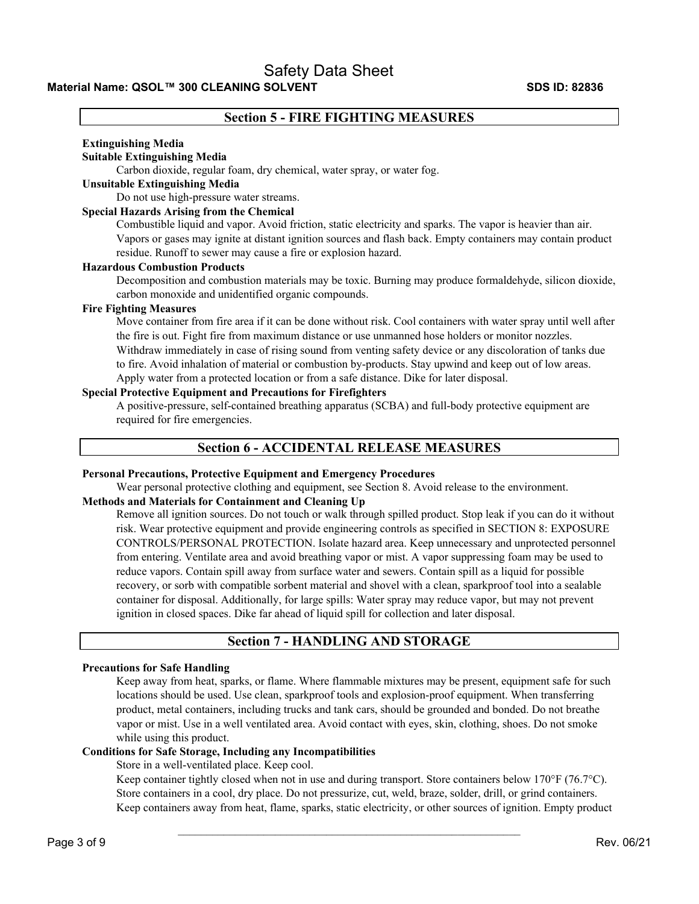## **Section 5 - FIRE FIGHTING MEASURES**

#### **Extinguishing Media**

#### **Suitable Extinguishing Media**

Carbon dioxide, regular foam, dry chemical, water spray, or water fog.

#### **Unsuitable Extinguishing Media**

Do not use high-pressure water streams.

#### **Special Hazards Arising from the Chemical**

Combustible liquid and vapor. Avoid friction, static electricity and sparks. The vapor is heavier than air. Vapors or gases may ignite at distant ignition sources and flash back. Empty containers may contain product residue. Runoff to sewer may cause a fire or explosion hazard.

#### **Hazardous Combustion Products**

Decomposition and combustion materials may be toxic. Burning may produce formaldehyde, silicon dioxide, carbon monoxide and unidentified organic compounds.

#### **Fire Fighting Measures**

Move container from fire area if it can be done without risk. Cool containers with water spray until well after the fire is out. Fight fire from maximum distance or use unmanned hose holders or monitor nozzles. Withdraw immediately in case of rising sound from venting safety device or any discoloration of tanks due to fire. Avoid inhalation of material or combustion by-products. Stay upwind and keep out of low areas. Apply water from a protected location or from a safe distance. Dike for later disposal.

## **Special Protective Equipment and Precautions for Firefighters**

A positive-pressure, self-contained breathing apparatus (SCBA) and full-body protective equipment are required for fire emergencies.

## **Section 6 - ACCIDENTAL RELEASE MEASURES**

#### **Personal Precautions, Protective Equipment and Emergency Procedures**

Wear personal protective clothing and equipment, see Section 8. Avoid release to the environment.

### **Methods and Materials for Containment and Cleaning Up**

Remove all ignition sources. Do not touch or walk through spilled product. Stop leak if you can do it without risk. Wear protective equipment and provide engineering controls as specified in SECTION 8: EXPOSURE CONTROLS/PERSONAL PROTECTION. Isolate hazard area. Keep unnecessary and unprotected personnel from entering. Ventilate area and avoid breathing vapor or mist. A vapor suppressing foam may be used to reduce vapors. Contain spill away from surface water and sewers. Contain spill as a liquid for possible recovery, or sorb with compatible sorbent material and shovel with a clean, sparkproof tool into a sealable container for disposal. Additionally, for large spills: Water spray may reduce vapor, but may not prevent ignition in closed spaces. Dike far ahead of liquid spill for collection and later disposal.

## **Section 7 - HANDLING AND STORAGE**

#### **Precautions for Safe Handling**

Keep away from heat, sparks, or flame. Where flammable mixtures may be present, equipment safe for such locations should be used. Use clean, sparkproof tools and explosion-proof equipment. When transferring product, metal containers, including trucks and tank cars, should be grounded and bonded. Do not breathe vapor or mist. Use in a well ventilated area. Avoid contact with eyes, skin, clothing, shoes. Do not smoke while using this product.

#### **Conditions for Safe Storage, Including any Incompatibilities**

Store in a well-ventilated place. Keep cool.

Keep container tightly closed when not in use and during transport. Store containers below 170°F (76.7°C). Store containers in a cool, dry place. Do not pressurize, cut, weld, braze, solder, drill, or grind containers. Keep containers away from heat, flame, sparks, static electricity, or other sources of ignition. Empty product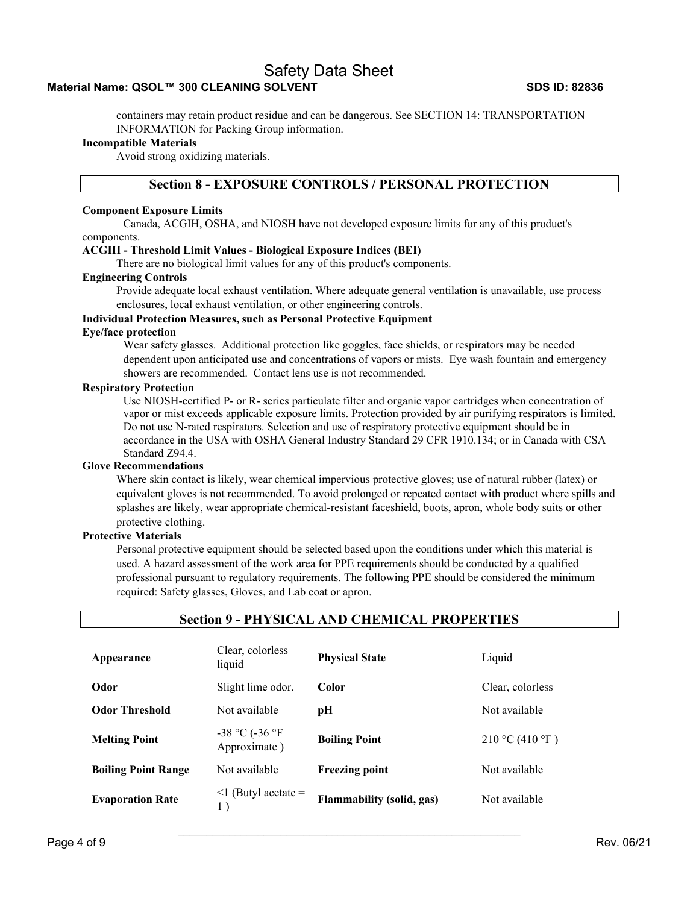## Material Name: QSOL™ 300 CLEANING SOLVENT SDS ID: 82836

containers may retain product residue and can be dangerous. See SECTION 14: TRANSPORTATION INFORMATION for Packing Group information.

#### **Incompatible Materials**

Avoid strong oxidizing materials.

#### **Section 8 - EXPOSURE CONTROLS / PERSONAL PROTECTION**

#### **Component Exposure Limits**

Canada, ACGIH, OSHA, and NIOSH have not developed exposure limits for any of this product's components.

#### **ACGIH - Threshold Limit Values - Biological Exposure Indices (BEI)**

There are no biological limit values for any of this product's components.

#### **Engineering Controls**

Provide adequate local exhaust ventilation. Where adequate general ventilation is unavailable, use process enclosures, local exhaust ventilation, or other engineering controls.

#### **Individual Protection Measures, such as Personal Protective Equipment**

#### **Eye/face protection**

Wear safety glasses. Additional protection like goggles, face shields, or respirators may be needed dependent upon anticipated use and concentrations of vapors or mists. Eye wash fountain and emergency showers are recommended. Contact lens use is not recommended.

#### **Respiratory Protection**

Use NIOSH-certified P- or R- series particulate filter and organic vapor cartridges when concentration of vapor or mist exceeds applicable exposure limits. Protection provided by air purifying respirators is limited. Do not use N-rated respirators. Selection and use of respiratory protective equipment should be in accordance in the USA with OSHA General Industry Standard 29 CFR 1910.134; or in Canada with CSA Standard Z94.4.

#### **Glove Recommendations**

Where skin contact is likely, wear chemical impervious protective gloves; use of natural rubber (latex) or equivalent gloves is not recommended. To avoid prolonged or repeated contact with product where spills and splashes are likely, wear appropriate chemical-resistant faceshield, boots, apron, whole body suits or other protective clothing.

#### **Protective Materials**

Personal protective equipment should be selected based upon the conditions under which this material is used. A hazard assessment of the work area for PPE requirements should be conducted by a qualified professional pursuant to regulatory requirements. The following PPE should be considered the minimum required: Safety glasses, Gloves, and Lab coat or apron.

#### **Section 9 - PHYSICAL AND CHEMICAL PROPERTIES**

| Appearance                 | Clear, colorless<br>liquid          | <b>Physical State</b>            | Liquid           |
|----------------------------|-------------------------------------|----------------------------------|------------------|
| Odor                       | Slight lime odor.                   | Color                            | Clear, colorless |
| <b>Odor Threshold</b>      | Not available                       | pН                               | Not available    |
| <b>Melting Point</b>       | $-38$ °C ( $-36$ °F<br>Approximate) | <b>Boiling Point</b>             | 210 °C (410 °F)  |
| <b>Boiling Point Range</b> | Not available                       | <b>Freezing point</b>            | Not available    |
| <b>Evaporation Rate</b>    | $\leq$ 1 (Butyl acetate =           | <b>Flammability (solid, gas)</b> | Not available    |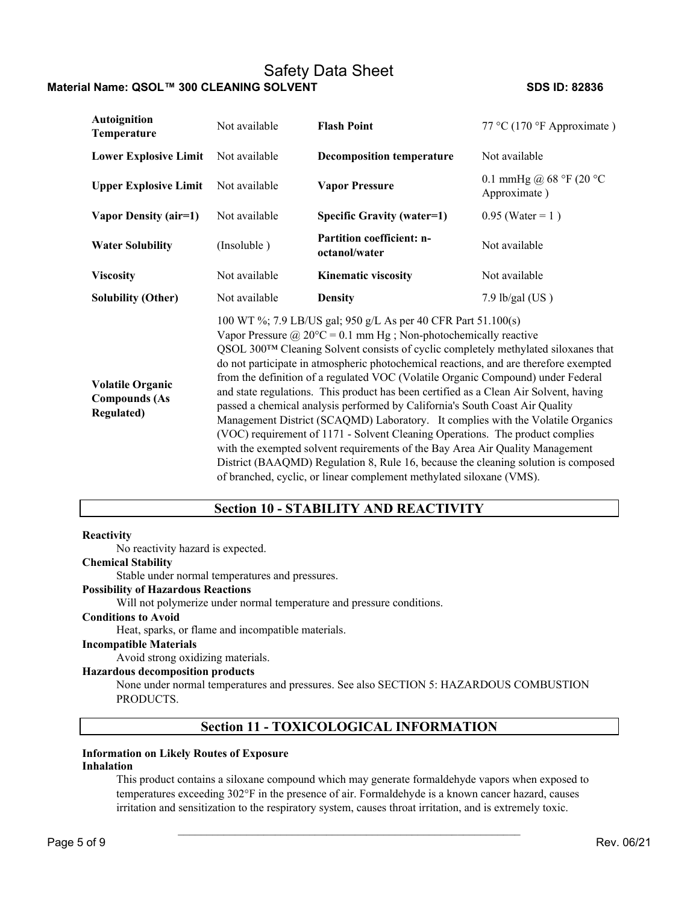| <b>Autoignition</b><br>Temperature                                   | Not available                                                        | <b>Flash Point</b>                                                                                                                                                                                                                                                                                                                                                                                                                                                                                                                                                                                                                                                                                                                                                                                                                                                                                                               | 77 °C (170 °F Approximate)               |  |  |  |  |  |
|----------------------------------------------------------------------|----------------------------------------------------------------------|----------------------------------------------------------------------------------------------------------------------------------------------------------------------------------------------------------------------------------------------------------------------------------------------------------------------------------------------------------------------------------------------------------------------------------------------------------------------------------------------------------------------------------------------------------------------------------------------------------------------------------------------------------------------------------------------------------------------------------------------------------------------------------------------------------------------------------------------------------------------------------------------------------------------------------|------------------------------------------|--|--|--|--|--|
| <b>Lower Explosive Limit</b>                                         | Not available                                                        | <b>Decomposition temperature</b>                                                                                                                                                                                                                                                                                                                                                                                                                                                                                                                                                                                                                                                                                                                                                                                                                                                                                                 | Not available                            |  |  |  |  |  |
| <b>Upper Explosive Limit</b>                                         | Not available                                                        | <b>Vapor Pressure</b>                                                                                                                                                                                                                                                                                                                                                                                                                                                                                                                                                                                                                                                                                                                                                                                                                                                                                                            | 0.1 mmHg @ 68 °F (20 °C)<br>Approximate) |  |  |  |  |  |
| Vapor Density (air=1)                                                | Not available                                                        | <b>Specific Gravity (water=1)</b>                                                                                                                                                                                                                                                                                                                                                                                                                                                                                                                                                                                                                                                                                                                                                                                                                                                                                                | $0.95$ (Water = 1)                       |  |  |  |  |  |
| <b>Water Solubility</b>                                              | (Insoluble)                                                          | <b>Partition coefficient: n-</b><br>octanol/water                                                                                                                                                                                                                                                                                                                                                                                                                                                                                                                                                                                                                                                                                                                                                                                                                                                                                | Not available                            |  |  |  |  |  |
| <b>Viscosity</b>                                                     | Not available                                                        | <b>Kinematic viscosity</b>                                                                                                                                                                                                                                                                                                                                                                                                                                                                                                                                                                                                                                                                                                                                                                                                                                                                                                       | Not available                            |  |  |  |  |  |
| <b>Solubility (Other)</b>                                            | Not available                                                        | <b>Density</b>                                                                                                                                                                                                                                                                                                                                                                                                                                                                                                                                                                                                                                                                                                                                                                                                                                                                                                                   | $7.9$ lb/gal (US)                        |  |  |  |  |  |
| <b>Volatile Organic</b><br><b>Compounds (As</b><br><b>Regulated)</b> | of branched, cyclic, or linear complement methylated siloxane (VMS). | 100 WT %; 7.9 LB/US gal; 950 g/L As per 40 CFR Part 51.100(s)<br>Vapor Pressure @ $20^{\circ}C = 0.1$ mm Hg; Non-photochemically reactive<br>QSOL 300™ Cleaning Solvent consists of cyclic completely methylated siloxanes that<br>do not participate in atmospheric photochemical reactions, and are therefore exempted<br>from the definition of a regulated VOC (Volatile Organic Compound) under Federal<br>and state regulations. This product has been certified as a Clean Air Solvent, having<br>passed a chemical analysis performed by California's South Coast Air Quality<br>Management District (SCAQMD) Laboratory. It complies with the Volatile Organics<br>(VOC) requirement of 1171 - Solvent Cleaning Operations. The product complies<br>with the exempted solvent requirements of the Bay Area Air Quality Management<br>District (BAAQMD) Regulation 8, Rule 16, because the cleaning solution is composed |                                          |  |  |  |  |  |

## **Section 10 - STABILITY AND REACTIVITY**

#### **Reactivity**

No reactivity hazard is expected.

#### **Chemical Stability**

Stable under normal temperatures and pressures.

### **Possibility of Hazardous Reactions**

Will not polymerize under normal temperature and pressure conditions.

### **Conditions to Avoid**

Heat, sparks, or flame and incompatible materials.

#### **Incompatible Materials**

Avoid strong oxidizing materials.

### **Hazardous decomposition products**

None under normal temperatures and pressures. See also SECTION 5: HAZARDOUS COMBUSTION PRODUCTS.

## **Section 11 - TOXICOLOGICAL INFORMATION**

#### **Information on Likely Routes of Exposure**

#### **Inhalation**

This product contains a siloxane compound which may generate formaldehyde vapors when exposed to temperatures exceeding 302°F in the presence of air. Formaldehyde is a known cancer hazard, causes irritation and sensitization to the respiratory system, causes throat irritation, and is extremely toxic.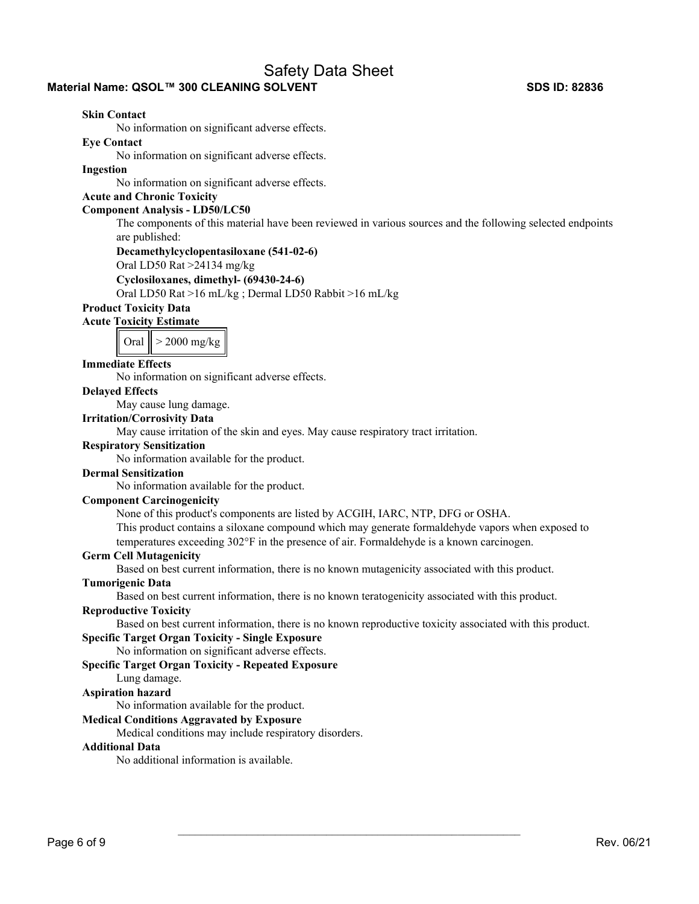## **Material Name: QSOL™ 300 CLEANING SOLVENT SDS ID: 82836**

#### **Skin Contact**

No information on significant adverse effects.

**Eye Contact** 

No information on significant adverse effects.

#### **Ingestion**

No information on significant adverse effects.

## **Acute and Chronic Toxicity**

#### **Component Analysis - LD50/LC50**

The components of this material have been reviewed in various sources and the following selected endpoints are published:

#### **Decamethylcyclopentasiloxane (541-02-6)**

Oral LD50 Rat >24134 mg/kg

#### **Cyclosiloxanes, dimethyl- (69430-24-6)**

Oral LD50 Rat >16 mL/kg ; Dermal LD50 Rabbit >16 mL/kg

#### **Product Toxicity Data**

**Acute Toxicity Estimate** 

Oral  $\vert\vert$  > 2000 mg/kg

#### **Immediate Effects**

No information on significant adverse effects.

#### **Delayed Effects**

May cause lung damage.

#### **Irritation/Corrosivity Data**

May cause irritation of the skin and eyes. May cause respiratory tract irritation.

### **Respiratory Sensitization**

No information available for the product.

#### **Dermal Sensitization**

No information available for the product.

#### **Component Carcinogenicity**

None of this product's components are listed by ACGIH, IARC, NTP, DFG or OSHA.

This product contains a siloxane compound which may generate formaldehyde vapors when exposed to temperatures exceeding 302°F in the presence of air. Formaldehyde is a known carcinogen.

#### **Germ Cell Mutagenicity**

Based on best current information, there is no known mutagenicity associated with this product.

#### **Tumorigenic Data**

Based on best current information, there is no known teratogenicity associated with this product.

#### **Reproductive Toxicity**

Based on best current information, there is no known reproductive toxicity associated with this product.

 $\mathcal{L}_\text{max}$  and the contract of the contract of the contract of the contract of the contract of the contract of

## **Specific Target Organ Toxicity - Single Exposure**

No information on significant adverse effects.

#### **Specific Target Organ Toxicity - Repeated Exposure**

#### Lung damage.

#### **Aspiration hazard**

No information available for the product.

#### **Medical Conditions Aggravated by Exposure**

Medical conditions may include respiratory disorders.

#### **Additional Data**

No additional information is available.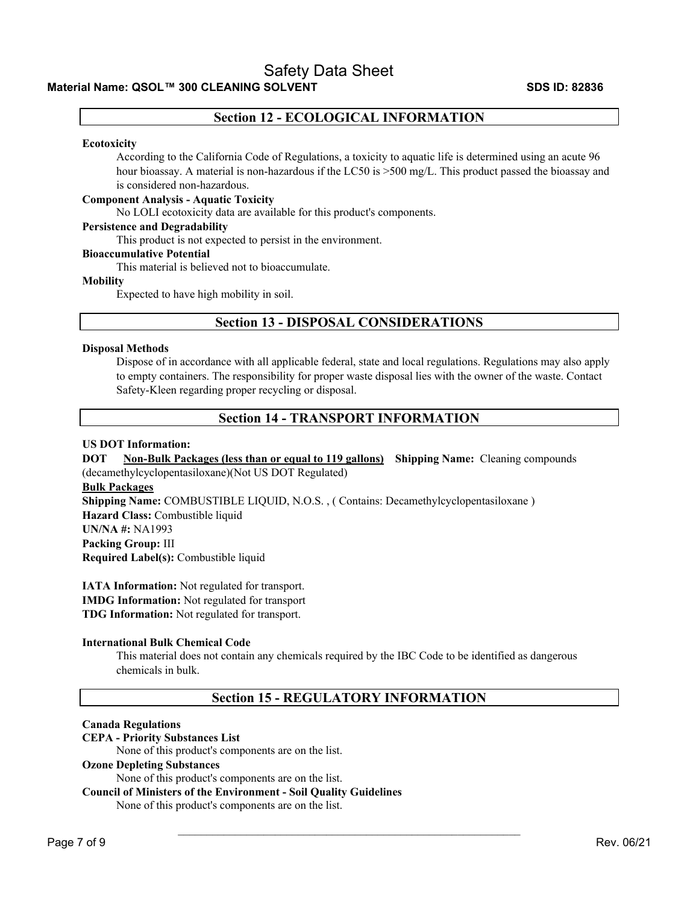## **Section 12 - ECOLOGICAL INFORMATION**

#### **Ecotoxicity**

According to the California Code of Regulations, a toxicity to aquatic life is determined using an acute 96 hour bioassay. A material is non-hazardous if the LC50 is  $>500$  mg/L. This product passed the bioassay and is considered non-hazardous.

#### **Component Analysis - Aquatic Toxicity**

No LOLI ecotoxicity data are available for this product's components.

#### **Persistence and Degradability**

This product is not expected to persist in the environment.

#### **Bioaccumulative Potential**

This material is believed not to bioaccumulate.

#### **Mobility**

Expected to have high mobility in soil.

## **Section 13 - DISPOSAL CONSIDERATIONS**

#### **Disposal Methods**

Dispose of in accordance with all applicable federal, state and local regulations. Regulations may also apply to empty containers. The responsibility for proper waste disposal lies with the owner of the waste. Contact Safety-Kleen regarding proper recycling or disposal.

## **Section 14 - TRANSPORT INFORMATION**

#### **US DOT Information:**

## **DOT** Non-Bulk Packages (less than or equal to 119 gallons) Shipping Name: Cleaning compounds (decamethylcyclopentasiloxane)(Not US DOT Regulated) **Bulk Packages Shipping Name:** COMBUSTIBLE LIQUID, N.O.S. , ( Contains: Decamethylcyclopentasiloxane ) **Hazard Class:** Combustible liquid **UN/NA #:** NA1993

**Packing Group:** III **Required Label(s):** Combustible liquid

**IATA Information:** Not regulated for transport. **IMDG Information:** Not regulated for transport **TDG Information:** Not regulated for transport.

#### **International Bulk Chemical Code**

This material does not contain any chemicals required by the IBC Code to be identified as dangerous chemicals in bulk.

## **Section 15 - REGULATORY INFORMATION**

 $\mathcal{L}_\text{max}$  and the contract of the contract of the contract of the contract of the contract of the contract of

#### **Canada Regulations**

#### **CEPA - Priority Substances List**

None of this product's components are on the list.

#### **Ozone Depleting Substances**

None of this product's components are on the list.

## **Council of Ministers of the Environment - Soil Quality Guidelines**

None of this product's components are on the list.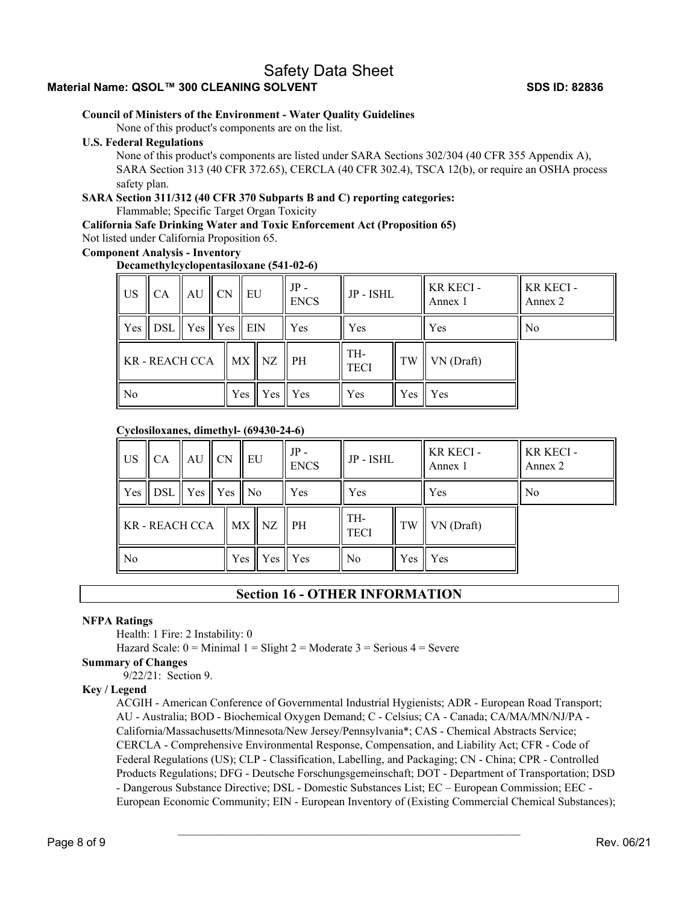## **Material Name: QSOL™ 300 CLEANING SOLVENT SDS ID: 82836**

#### **Council of Ministers of the Environment - Water Quality Guidelines**

None of this product's components are on the list.

#### **U.S. Federal Regulations**

None of this product's components are listed under SARA Sections 302/304 (40 CFR 355 Appendix A), SARA Section 313 (40 CFR 372.65), CERCLA (40 CFR 302.4), TSCA 12(b), or require an OSHA process safety plan.

# **SARA Section 311/312 (40 CFR 370 Subparts B and C) reporting categories:**

Flammable; Specific Target Organ Toxicity

**California Safe Drinking Water and Toxic Enforcement Act (Proposition 65)** 

Not listed under California Proposition 65.

#### **Component Analysis - Inventory**

#### **Decamethylcyclopentasiloxane (541-02-6)**

| US <sup>-</sup>     | CA                       | $AU$ $CN$ |  |  | EU             |                        | $JP -$<br><b>ENCS</b> | JP - ISHL  |            | KR KECI-<br>Annex 1 | <b>KR KECI-</b><br>Annex 2 |
|---------------------|--------------------------|-----------|--|--|----------------|------------------------|-----------------------|------------|------------|---------------------|----------------------------|
| <b>Yes</b>          | DSL    Yes    Yes    EIN |           |  |  |                |                        | Yes                   | Yes        |            | Yes                 | N <sub>0</sub>             |
| <b>KR-REACH CCA</b> |                          |           |  |  | $MX$ NZ        | $\mathsf{P}\mathsf{H}$ | TH-<br><b>TECI</b>    | TW         | VN (Draft) |                     |                            |
| N <sub>o</sub>      |                          |           |  |  | $Yes \mid Yes$ | <b>Yes</b>             | Yes                   | <b>Yes</b> | Yes        |                     |                            |

#### **Cyclosiloxanes, dimethyl- (69430-24-6)**

| $\parallel$ US | <b>CA</b>                                                      | $AU$ CN |         |  | <b>EU</b> |                | $JP -$<br><b>ENCS</b> | JP - ISHL |            | KR KECI-<br>Annex 1 | KR KECI-<br>Annex 2 |
|----------------|----------------------------------------------------------------|---------|---------|--|-----------|----------------|-----------------------|-----------|------------|---------------------|---------------------|
| Yes            | $\parallel$ DSL $\parallel$ Yes $\parallel$ Yes $\parallel$ No |         |         |  |           |                | Yes.                  | Yes       |            | Yes                 | No                  |
| KR - REACH CCA |                                                                |         |         |  | $MX$ $NZ$ | $\parallel$ PH | TH-<br><b>TECI</b>    | TW        | VN (Draft) |                     |                     |
| N <sub>o</sub> |                                                                |         | Yes∣Yes |  |           | Yes            | No.                   | Yes I     | l Yes      |                     |                     |

#### **Section 16 - OTHER INFORMATION**

#### **NFPA Ratings**

Health: 1 Fire: 2 Instability: 0

Hazard Scale:  $0 =$  Minimal  $1 =$  Slight  $2 =$  Moderate  $3 =$  Serious  $4 =$  Severe

#### **Summary of Changes**

9/22/21: Section 9.

#### **Key / Legend**

ACGIH - American Conference of Governmental Industrial Hygienists; ADR - European Road Transport; AU - Australia; BOD - Biochemical Oxygen Demand; C - Celsius; CA - Canada; CA/MA/MN/NJ/PA - California/Massachusetts/Minnesota/New Jersey/Pennsylvania\*; CAS - Chemical Abstracts Service; CERCLA - Comprehensive Environmental Response, Compensation, and Liability Act; CFR - Code of Federal Regulations (US); CLP - Classification, Labelling, and Packaging; CN - China; CPR - Controlled Products Regulations; DFG - Deutsche Forschungsgemeinschaft; DOT - Department of Transportation; DSD - Dangerous Substance Directive; DSL - Domestic Substances List; EC – European Commission; EEC - European Economic Community; EIN - European Inventory of (Existing Commercial Chemical Substances);